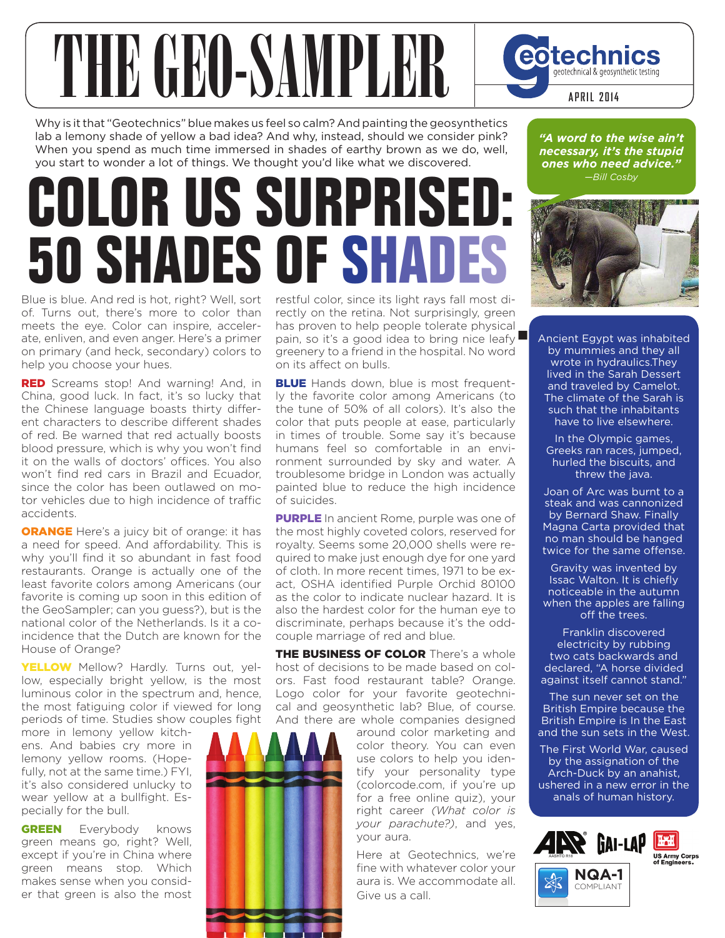# THE GEO-SAMPLE eotechnics geotechnical & geosynthetic testing **APRIL 2014**

Why is it that "Geotechnics" blue makes us feel so calm? And painting the geosynthetics lab a lemony shade of yellow a bad idea? And why, instead, should we consider pink? When you spend as much time immersed in shades of earthy brown as we do, well, you start to wonder a lot of things. We thought you'd like what we discovered.

# **COLOR US SURPRISED: 50 SHADES OF SHA**

Blue is blue. And red is hot, right? Well, sort of. Turns out, there's more to color than meets the eye. Color can inspire, accelerate, enliven, and even anger. Here's a primer on primary (and heck, secondary) colors to help you choose your hues.

RED Screams stop! And warning! And, in China, good luck. In fact, it's so lucky that the Chinese language boasts thirty different characters to describe different shades of red. Be warned that red actually boosts blood pressure, which is why you won't find it on the walls of doctors' offices. You also won't find red cars in Brazil and Ecuador, since the color has been outlawed on motor vehicles due to high incidence of traffic accidents.

**ORANGE** Here's a juicy bit of orange: it has a need for speed. And affordability. This is why you'll find it so abundant in fast food restaurants. Orange is actually one of the least favorite colors among Americans (our favorite is coming up soon in this edition of the GeoSampler; can you guess?), but is the national color of the Netherlands. Is it a coincidence that the Dutch are known for the House of Orange?

YELLOW Mellow? Hardly. Turns out, yellow, especially bright yellow, is the most luminous color in the spectrum and, hence, the most fatiguing color if viewed for long periods of time. Studies show couples fight

more in lemony yellow kitchens. And babies cry more in lemony yellow rooms. (Hopefully, not at the same time.) FYI, it's also considered unlucky to wear yellow at a bullfight. Especially for the bull.

**GREEN** Everybody knows green means go, right? Well, except if you're in China where green means stop. Which makes sense when you consider that green is also the most

restful color, since its light rays fall most directly on the retina. Not surprisingly, green has proven to help people tolerate physical pain, so it's a good idea to bring nice leafy $\blacksquare$ greenery to a friend in the hospital. No word on its affect on bulls.

**BLUE** Hands down, blue is most frequently the favorite color among Americans (to the tune of 50% of all colors). It's also the color that puts people at ease, particularly in times of trouble. Some say it's because humans feel so comfortable in an environment surrounded by sky and water. A troublesome bridge in London was actually painted blue to reduce the high incidence of suicides.

**PURPLE** In ancient Rome, purple was one of the most highly coveted colors, reserved for royalty. Seems some 20,000 shells were required to make just enough dye for one yard of cloth. In more recent times, 1971 to be exact, OSHA identified Purple Orchid 80100 as the color to indicate nuclear hazard. It is also the hardest color for the human eye to discriminate, perhaps because it's the oddcouple marriage of red and blue.

THE BUSINESS OF COLOR There's a whole host of decisions to be made based on colors. Fast food restaurant table? Orange. Logo color for your favorite geotechnical and geosynthetic lab? Blue, of course. And there are whole companies designed

around color marketing and color theory. You can even use colors to help you identify your personality type (colorcode.com, if you're up for a free online quiz), your right career *(What color is your parachute?)*, and yes, your aura.

Here at Geotechnics, we're fine with whatever color your aura is. We accommodate all. Give us a call.

*"A word to the wise ain't necessary, it's the stupid ones who need advice." —Bill Cosby* 



**.** Ancient Egypt was inhabited by mummies and they all wrote in hydraulics.They lived in the Sarah Dessert and traveled by Camelot. The climate of the Sarah is such that the inhabitants have to live elsewhere.

In the Olympic games, Greeks ran races, jumped, hurled the biscuits, and threw the java.

Joan of Arc was burnt to a steak and was cannonized by Bernard Shaw. Finally Magna Carta provided that no man should be hanged twice for the same offense.

Gravity was invented by Issac Walton. It is chiefly noticeable in the autumn when the apples are falling off the trees.

Franklin discovered electricity by rubbing two cats backwards and declared, "A horse divided against itself cannot stand."

The sun never set on the British Empire because the British Empire is In the East and the sun sets in the West.

The First World War, caused by the assignation of the Arch-Duck by an anahist, ushered in a new error in the anals of human history.